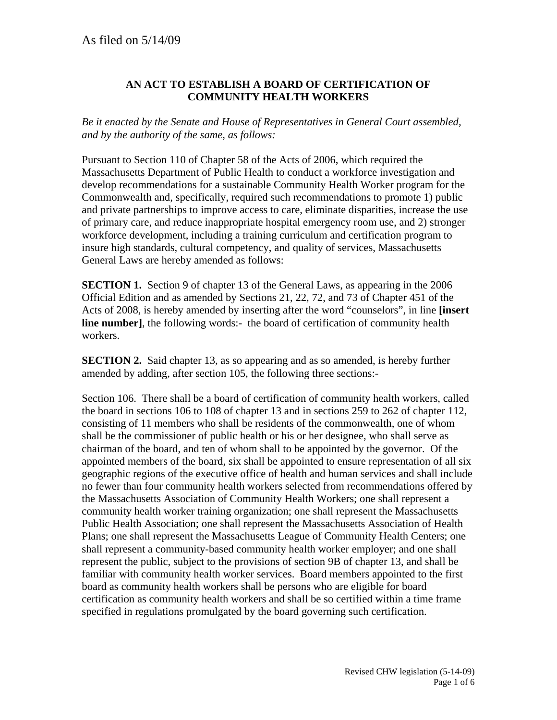## **AN ACT TO ESTABLISH A BOARD OF CERTIFICATION OF COMMUNITY HEALTH WORKERS**

*Be it enacted by the Senate and House of Representatives in General Court assembled, and by the authority of the same, as follows:*

Pursuant to Section 110 of Chapter 58 of the Acts of 2006, which required the Massachusetts Department of Public Health to conduct a workforce investigation and develop recommendations for a sustainable Community Health Worker program for the Commonwealth and, specifically, required such recommendations to promote 1) public and private partnerships to improve access to care, eliminate disparities, increase the use of primary care, and reduce inappropriate hospital emergency room use, and 2) stronger workforce development, including a training curriculum and certification program to insure high standards, cultural competency, and quality of services, Massachusetts General Laws are hereby amended as follows:

**SECTION 1.** Section 9 of chapter 13 of the General Laws, as appearing in the 2006 Official Edition and as amended by Sections 21, 22, 72, and 73 of Chapter 451 of the Acts of 2008, is hereby amended by inserting after the word "counselors", in line **[insert line number**, the following words:- the board of certification of community health workers.

**SECTION 2.** Said chapter 13, as so appearing and as so amended, is hereby further amended by adding, after section 105, the following three sections:-

Section 106. There shall be a board of certification of community health workers, called the board in sections 106 to 108 of chapter 13 and in sections 259 to 262 of chapter 112, consisting of 11 members who shall be residents of the commonwealth, one of whom shall be the commissioner of public health or his or her designee, who shall serve as chairman of the board, and ten of whom shall to be appointed by the governor. Of the appointed members of the board, six shall be appointed to ensure representation of all six geographic regions of the executive office of health and human services and shall include no fewer than four community health workers selected from recommendations offered by the Massachusetts Association of Community Health Workers; one shall represent a community health worker training organization; one shall represent the Massachusetts Public Health Association; one shall represent the Massachusetts Association of Health Plans; one shall represent the Massachusetts League of Community Health Centers; one shall represent a community-based community health worker employer; and one shall represent the public, subject to the provisions of section 9B of chapter 13, and shall be familiar with community health worker services. Board members appointed to the first board as community health workers shall be persons who are eligible for board certification as community health workers and shall be so certified within a time frame specified in regulations promulgated by the board governing such certification.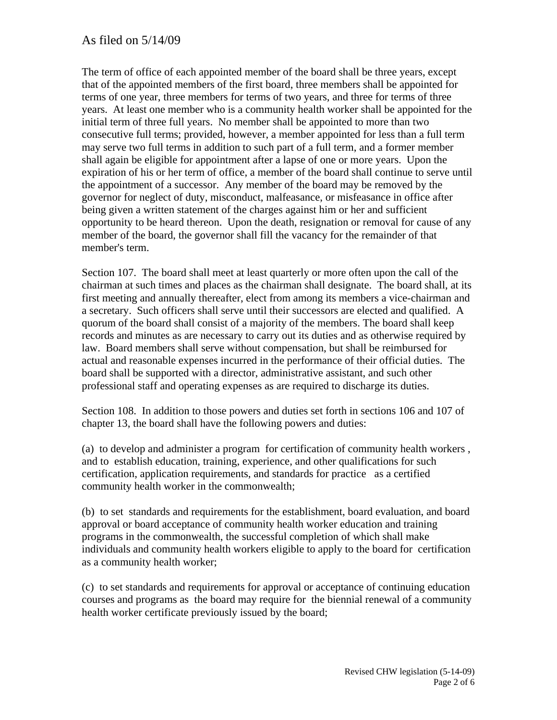## As filed on 5/14/09

The term of office of each appointed member of the board shall be three years, except that of the appointed members of the first board, three members shall be appointed for terms of one year, three members for terms of two years, and three for terms of three years. At least one member who is a community health worker shall be appointed for the initial term of three full years. No member shall be appointed to more than two consecutive full terms; provided, however, a member appointed for less than a full term may serve two full terms in addition to such part of a full term, and a former member shall again be eligible for appointment after a lapse of one or more years. Upon the expiration of his or her term of office, a member of the board shall continue to serve until the appointment of a successor. Any member of the board may be removed by the governor for neglect of duty, misconduct, malfeasance, or misfeasance in office after being given a written statement of the charges against him or her and sufficient opportunity to be heard thereon. Upon the death, resignation or removal for cause of any member of the board, the governor shall fill the vacancy for the remainder of that member's term.

Section 107. The board shall meet at least quarterly or more often upon the call of the chairman at such times and places as the chairman shall designate. The board shall, at its first meeting and annually thereafter, elect from among its members a vice-chairman and a secretary. Such officers shall serve until their successors are elected and qualified. A quorum of the board shall consist of a majority of the members. The board shall keep records and minutes as are necessary to carry out its duties and as otherwise required by law. Board members shall serve without compensation, but shall be reimbursed for actual and reasonable expenses incurred in the performance of their official duties. The board shall be supported with a director, administrative assistant, and such other professional staff and operating expenses as are required to discharge its duties.

Section 108. In addition to those powers and duties set forth in sections 106 and 107 of chapter 13, the board shall have the following powers and duties:

(a) to develop and administer a program for certification of community health workers , and to establish education, training, experience, and other qualifications for such certification, application requirements, and standards for practice as a certified community health worker in the commonwealth;

(b) to set standards and requirements for the establishment, board evaluation, and board approval or board acceptance of community health worker education and training programs in the commonwealth, the successful completion of which shall make individuals and community health workers eligible to apply to the board for certification as a community health worker;

(c) to set standards and requirements for approval or acceptance of continuing education courses and programs as the board may require for the biennial renewal of a community health worker certificate previously issued by the board;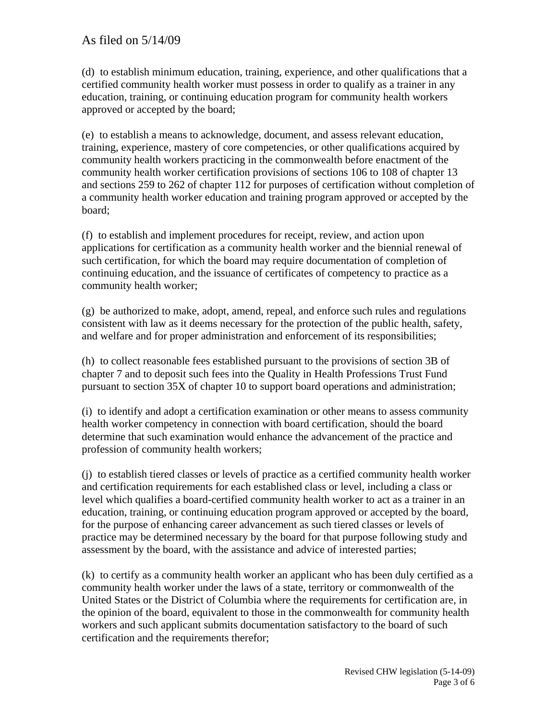(d) to establish minimum education, training, experience, and other qualifications that a certified community health worker must possess in order to qualify as a trainer in any education, training, or continuing education program for community health workers approved or accepted by the board;

(e) to establish a means to acknowledge, document, and assess relevant education, training, experience, mastery of core competencies, or other qualifications acquired by community health workers practicing in the commonwealth before enactment of the community health worker certification provisions of sections 106 to 108 of chapter 13 and sections 259 to 262 of chapter 112 for purposes of certification without completion of a community health worker education and training program approved or accepted by the board;

(f) to establish and implement procedures for receipt, review, and action upon applications for certification as a community health worker and the biennial renewal of such certification, for which the board may require documentation of completion of continuing education, and the issuance of certificates of competency to practice as a community health worker;

(g) be authorized to make, adopt, amend, repeal, and enforce such rules and regulations consistent with law as it deems necessary for the protection of the public health, safety, and welfare and for proper administration and enforcement of its responsibilities;

(h) to collect reasonable fees established pursuant to the provisions of section 3B of chapter 7 and to deposit such fees into the Quality in Health Professions Trust Fund pursuant to section 35X of chapter 10 to support board operations and administration;

(i) to identify and adopt a certification examination or other means to assess community health worker competency in connection with board certification, should the board determine that such examination would enhance the advancement of the practice and profession of community health workers;

(j) to establish tiered classes or levels of practice as a certified community health worker and certification requirements for each established class or level, including a class or level which qualifies a board-certified community health worker to act as a trainer in an education, training, or continuing education program approved or accepted by the board, for the purpose of enhancing career advancement as such tiered classes or levels of practice may be determined necessary by the board for that purpose following study and assessment by the board, with the assistance and advice of interested parties;

(k) to certify as a community health worker an applicant who has been duly certified as a community health worker under the laws of a state, territory or commonwealth of the United States or the District of Columbia where the requirements for certification are, in the opinion of the board, equivalent to those in the commonwealth for community health workers and such applicant submits documentation satisfactory to the board of such certification and the requirements therefor;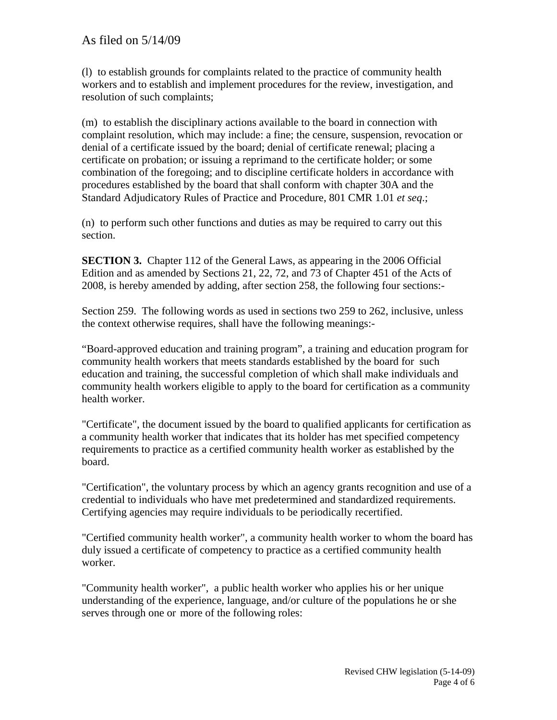(l) to establish grounds for complaints related to the practice of community health workers and to establish and implement procedures for the review, investigation, and resolution of such complaints;

(m) to establish the disciplinary actions available to the board in connection with complaint resolution, which may include: a fine; the censure, suspension, revocation or denial of a certificate issued by the board; denial of certificate renewal; placing a certificate on probation; or issuing a reprimand to the certificate holder; or some combination of the foregoing; and to discipline certificate holders in accordance with procedures established by the board that shall conform with chapter 30A and the Standard Adjudicatory Rules of Practice and Procedure, 801 CMR 1.01 *et seq*.;

(n) to perform such other functions and duties as may be required to carry out this section.

**SECTION 3.** Chapter 112 of the General Laws, as appearing in the 2006 Official Edition and as amended by Sections 21, 22, 72, and 73 of Chapter 451 of the Acts of 2008, is hereby amended by adding, after section 258, the following four sections:-

Section 259. The following words as used in sections two 259 to 262, inclusive, unless the context otherwise requires, shall have the following meanings:-

"Board-approved education and training program", a training and education program for community health workers that meets standards established by the board for such education and training, the successful completion of which shall make individuals and community health workers eligible to apply to the board for certification as a community health worker.

"Certificate", the document issued by the board to qualified applicants for certification as a community health worker that indicates that its holder has met specified competency requirements to practice as a certified community health worker as established by the board.

"Certification", the voluntary process by which an agency grants recognition and use of a credential to individuals who have met predetermined and standardized requirements. Certifying agencies may require individuals to be periodically recertified.

"Certified community health worker", a community health worker to whom the board has duly issued a certificate of competency to practice as a certified community health worker.

 "Community health worker", a public health worker who applies his or her unique understanding of the experience, language, and/or culture of the populations he or she serves through one or more of the following roles: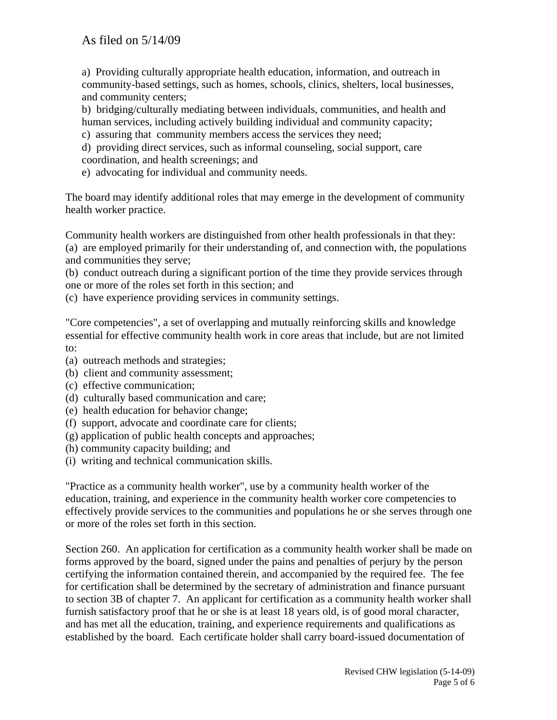a) Providing culturally appropriate health education, information, and outreach in community-based settings, such as homes, schools, clinics, shelters, local businesses, and community centers;

 b) bridging/culturally mediating between individuals, communities, and health and human services, including actively building individual and community capacity;

- c) assuring that community members access the services they need;
- d) providing direct services, such as informal counseling, social support, care coordination, and health screenings; and
- e) advocating for individual and community needs.

The board may identify additional roles that may emerge in the development of community health worker practice.

Community health workers are distinguished from other health professionals in that they: (a) are employed primarily for their understanding of, and connection with, the populations and communities they serve;

(b) conduct outreach during a significant portion of the time they provide services through one or more of the roles set forth in this section; and

(c) have experience providing services in community settings.

"Core competencies", a set of overlapping and mutually reinforcing skills and knowledge essential for effective community health work in core areas that include, but are not limited to:

- (a) outreach methods and strategies;
- (b) client and community assessment;
- (c) effective communication;
- (d) culturally based communication and care;
- (e) health education for behavior change;
- (f) support, advocate and coordinate care for clients;
- (g) application of public health concepts and approaches;
- (h) community capacity building; and
- (i) writing and technical communication skills.

"Practice as a community health worker", use by a community health worker of the education, training, and experience in the community health worker core competencies to effectively provide services to the communities and populations he or she serves through one or more of the roles set forth in this section.

Section 260. An application for certification as a community health worker shall be made on forms approved by the board, signed under the pains and penalties of perjury by the person certifying the information contained therein, and accompanied by the required fee. The fee for certification shall be determined by the secretary of administration and finance pursuant to section 3B of chapter 7. An applicant for certification as a community health worker shall furnish satisfactory proof that he or she is at least 18 years old, is of good moral character, and has met all the education, training, and experience requirements and qualifications as established by the board. Each certificate holder shall carry board-issued documentation of